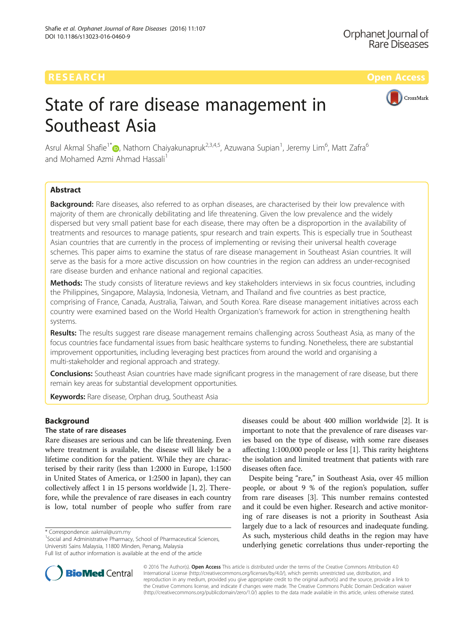CrossMark

# State of rare disease management in Southeast Asia

Asrul Akmal Shafie<sup>1\*</sup>�[,](http://orcid.org/0000-0002-5629-9270) Nathorn Chaiyakunapruk<sup>2,3,4,5</sup>, Azuwana Supian<sup>1</sup>, Jeremy Lim<sup>6</sup>, Matt Zafra<sup>6</sup> and Mohamed Azmi Ahmad Hassali<sup>1</sup>

# Abstract

Background: Rare diseases, also referred to as orphan diseases, are characterised by their low prevalence with majority of them are chronically debilitating and life threatening. Given the low prevalence and the widely dispersed but very small patient base for each disease, there may often be a disproportion in the availability of treatments and resources to manage patients, spur research and train experts. This is especially true in Southeast Asian countries that are currently in the process of implementing or revising their universal health coverage schemes. This paper aims to examine the status of rare disease management in Southeast Asian countries. It will serve as the basis for a more active discussion on how countries in the region can address an under-recognised rare disease burden and enhance national and regional capacities.

Methods: The study consists of literature reviews and key stakeholders interviews in six focus countries, including the Philippines, Singapore, Malaysia, Indonesia, Vietnam, and Thailand and five countries as best practice, comprising of France, Canada, Australia, Taiwan, and South Korea. Rare disease management initiatives across each country were examined based on the World Health Organization's framework for action in strengthening health systems.

Results: The results suggest rare disease management remains challenging across Southeast Asia, as many of the focus countries face fundamental issues from basic healthcare systems to funding. Nonetheless, there are substantial improvement opportunities, including leveraging best practices from around the world and organising a multi-stakeholder and regional approach and strategy.

Conclusions: Southeast Asian countries have made significant progress in the management of rare disease, but there remain key areas for substantial development opportunities.

Keywords: Rare disease, Orphan drug, Southeast Asia

# Background

# The state of rare diseases

Rare diseases are serious and can be life threatening. Even where treatment is available, the disease will likely be a lifetime condition for the patient. While they are characterised by their rarity (less than 1:2000 in Europe, 1:1500 in United States of America, or 1:2500 in Japan), they can collectively affect 1 in 15 persons worldwide [\[1](#page-9-0), [2](#page-9-0)]. Therefore, while the prevalence of rare diseases in each country is low, total number of people who suffer from rare

<sup>1</sup>Social and Administrative Pharmacy, School of Pharmaceutical Sciences, Universiti Sains Malaysia, 11800 Minden, Penang, Malaysia Full list of author information is available at the end of the article

diseases could be about 400 million worldwide [[2](#page-9-0)]. It is important to note that the prevalence of rare diseases varies based on the type of disease, with some rare diseases affecting 1:100,000 people or less [[1\]](#page-9-0). This rarity heightens the isolation and limited treatment that patients with rare diseases often face.

Despite being "rare," in Southeast Asia, over 45 million people, or about 9 % of the region's population, suffer from rare diseases [[3](#page-9-0)]. This number remains contested and it could be even higher. Research and active monitoring of rare diseases is not a priority in Southeast Asia largely due to a lack of resources and inadequate funding. As such, mysterious child deaths in the region may have underlying genetic correlations thus under-reporting the



© 2016 The Author(s). Open Access This article is distributed under the terms of the Creative Commons Attribution 4.0 International License [\(http://creativecommons.org/licenses/by/4.0/](http://creativecommons.org/licenses/by/4.0/)), which permits unrestricted use, distribution, and reproduction in any medium, provided you give appropriate credit to the original author(s) and the source, provide a link to the Creative Commons license, and indicate if changes were made. The Creative Commons Public Domain Dedication waiver [\(http://creativecommons.org/publicdomain/zero/1.0/](http://creativecommons.org/publicdomain/zero/1.0/)) applies to the data made available in this article, unless otherwise stated.

<sup>\*</sup> Correspondence: [aakmal@usm.my](mailto:aakmal@usm.my) <sup>1</sup>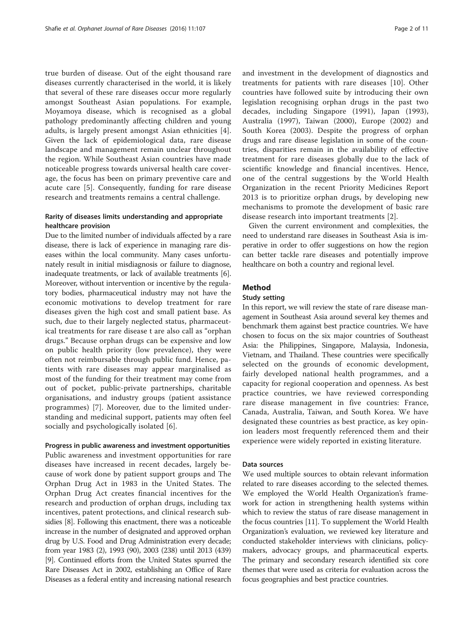true burden of disease. Out of the eight thousand rare diseases currently characterised in the world, it is likely that several of these rare diseases occur more regularly amongst Southeast Asian populations. For example, Moyamoya disease, which is recognised as a global pathology predominantly affecting children and young adults, is largely present amongst Asian ethnicities [\[4](#page-9-0)]. Given the lack of epidemiological data, rare disease landscape and management remain unclear throughout the region. While Southeast Asian countries have made noticeable progress towards universal health care coverage, the focus has been on primary preventive care and acute care [\[5](#page-10-0)]. Consequently, funding for rare disease research and treatments remains a central challenge.

# Rarity of diseases limits understanding and appropriate healthcare provision

Due to the limited number of individuals affected by a rare disease, there is lack of experience in managing rare diseases within the local community. Many cases unfortunately result in initial misdiagnosis or failure to diagnose, inadequate treatments, or lack of available treatments [[6](#page-10-0)]. Moreover, without intervention or incentive by the regulatory bodies, pharmaceutical industry may not have the economic motivations to develop treatment for rare diseases given the high cost and small patient base. As such, due to their largely neglected status, pharmaceutical treatments for rare disease t are also call as "orphan drugs." Because orphan drugs can be expensive and low on public health priority (low prevalence), they were often not reimbursable through public fund. Hence, patients with rare diseases may appear marginalised as most of the funding for their treatment may come from out of pocket, public-private partnerships, charitable organisations, and industry groups (patient assistance programmes) [[7](#page-10-0)]. Moreover, due to the limited understanding and medicinal support, patients may often feel socially and psychologically isolated [\[6](#page-10-0)].

# Progress in public awareness and investment opportunities

Public awareness and investment opportunities for rare diseases have increased in recent decades, largely because of work done by patient support groups and The Orphan Drug Act in 1983 in the United States. The Orphan Drug Act creates financial incentives for the research and production of orphan drugs, including tax incentives, patent protections, and clinical research subsidies [\[8\]](#page-10-0). Following this enactment, there was a noticeable increase in the number of designated and approved orphan drug by U.S. Food and Drug Administration every decade; from year 1983 (2), 1993 (90), 2003 (238) until 2013 (439) [[9](#page-10-0)]. Continued efforts from the United States spurred the Rare Diseases Act in 2002, establishing an Office of Rare Diseases as a federal entity and increasing national research

and investment in the development of diagnostics and treatments for patients with rare diseases [[10\]](#page-10-0). Other countries have followed suite by introducing their own legislation recognising orphan drugs in the past two decades, including Singapore (1991), Japan (1993), Australia (1997), Taiwan (2000), Europe (2002) and South Korea (2003). Despite the progress of orphan drugs and rare disease legislation in some of the countries, disparities remain in the availability of effective treatment for rare diseases globally due to the lack of scientific knowledge and financial incentives. Hence, one of the central suggestions by the World Health Organization in the recent Priority Medicines Report 2013 is to prioritize orphan drugs, by developing new mechanisms to promote the development of basic rare disease research into important treatments [[2\]](#page-9-0).

Given the current environment and complexities, the need to understand rare diseases in Southeast Asia is imperative in order to offer suggestions on how the region can better tackle rare diseases and potentially improve healthcare on both a country and regional level.

# Method

# Study setting

In this report, we will review the state of rare disease management in Southeast Asia around several key themes and benchmark them against best practice countries. We have chosen to focus on the six major countries of Southeast Asia: the Philippines, Singapore, Malaysia, Indonesia, Vietnam, and Thailand. These countries were specifically selected on the grounds of economic development, fairly developed national health programmes, and a capacity for regional cooperation and openness. As best practice countries, we have reviewed corresponding rare disease management in five countries: France, Canada, Australia, Taiwan, and South Korea. We have designated these countries as best practice, as key opinion leaders most frequently referenced them and their experience were widely reported in existing literature.

# Data sources

We used multiple sources to obtain relevant information related to rare diseases according to the selected themes. We employed the World Health Organization's framework for action in strengthening health systems within which to review the status of rare disease management in the focus countries [[11](#page-10-0)]. To supplement the World Health Organization's evaluation, we reviewed key literature and conducted stakeholder interviews with clinicians, policymakers, advocacy groups, and pharmaceutical experts. The primary and secondary research identified six core themes that were used as criteria for evaluation across the focus geographies and best practice countries.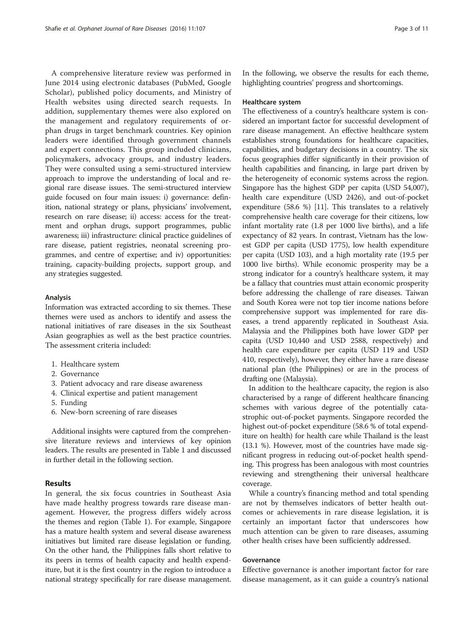A comprehensive literature review was performed in June 2014 using electronic databases (PubMed, Google Scholar), published policy documents, and Ministry of Health websites using directed search requests. In addition, supplementary themes were also explored on the management and regulatory requirements of orphan drugs in target benchmark countries. Key opinion leaders were identified through government channels and expert connections. This group included clinicians, policymakers, advocacy groups, and industry leaders. They were consulted using a semi-structured interview approach to improve the understanding of local and regional rare disease issues. The semi-structured interview guide focused on four main issues: i) governance: definition, national strategy or plans, physicians' involvement, research on rare disease; ii) access: access for the treatment and orphan drugs, support programmes, public awareness; iii) infrastructure: clinical practice guidelines of rare disease, patient registries, neonatal screening programmes, and centre of expertise; and iv) opportunities: training, capacity-building projects, support group, and any strategies suggested.

## Analysis

Information was extracted according to six themes. These themes were used as anchors to identify and assess the national initiatives of rare diseases in the six Southeast Asian geographies as well as the best practice countries. The assessment criteria included:

- 1. Healthcare system
- 2. Governance
- 3. Patient advocacy and rare disease awareness
- 4. Clinical expertise and patient management
- 5. Funding
- 6. New-born screening of rare diseases

Additional insights were captured from the comprehensive literature reviews and interviews of key opinion leaders. The results are presented in Table [1](#page-3-0) and discussed in further detail in the following section.

# Results

In general, the six focus countries in Southeast Asia have made healthy progress towards rare disease management. However, the progress differs widely across the themes and region (Table [1\)](#page-3-0). For example, Singapore has a mature health system and several disease awareness initiatives but limited rare disease legislation or funding. On the other hand, the Philippines falls short relative to its peers in terms of health capacity and health expenditure, but it is the first country in the region to introduce a national strategy specifically for rare disease management.

In the following, we observe the results for each theme, highlighting countries' progress and shortcomings.

## Healthcare system

The effectiveness of a country's healthcare system is considered an important factor for successful development of rare disease management. An effective healthcare system establishes strong foundations for healthcare capacities, capabilities, and budgetary decisions in a country. The six focus geographies differ significantly in their provision of health capabilities and financing, in large part driven by the heterogeneity of economic systems across the region. Singapore has the highest GDP per capita (USD 54,007), health care expenditure (USD 2426), and out-of-pocket expenditure (58.6 %) [\[11\]](#page-10-0). This translates to a relatively comprehensive health care coverage for their citizens, low infant mortality rate (1.8 per 1000 live births), and a life expectancy of 82 years. In contrast, Vietnam has the lowest GDP per capita (USD 1775), low health expenditure per capita (USD 103), and a high mortality rate (19.5 per 1000 live births). While economic prosperity may be a strong indicator for a country's healthcare system, it may be a fallacy that countries must attain economic prosperity before addressing the challenge of rare diseases. Taiwan and South Korea were not top tier income nations before comprehensive support was implemented for rare diseases, a trend apparently replicated in Southeast Asia. Malaysia and the Philippines both have lower GDP per capita (USD 10,440 and USD 2588, respectively) and health care expenditure per capita (USD 119 and USD 410, respectively), however, they either have a rare disease national plan (the Philippines) or are in the process of drafting one (Malaysia).

In addition to the healthcare capacity, the region is also characterised by a range of different healthcare financing schemes with various degree of the potentially catastrophic out-of-pocket payments. Singapore recorded the highest out-of-pocket expenditure (58.6 % of total expenditure on health) for health care while Thailand is the least (13.1 %). However, most of the countries have made significant progress in reducing out-of-pocket health spending. This progress has been analogous with most countries reviewing and strengthening their universal healthcare coverage.

While a country's financing method and total spending are not by themselves indicators of better health outcomes or achievements in rare disease legislation, it is certainly an important factor that underscores how much attention can be given to rare diseases, assuming other health crises have been sufficiently addressed.

# Governance

Effective governance is another important factor for rare disease management, as it can guide a country's national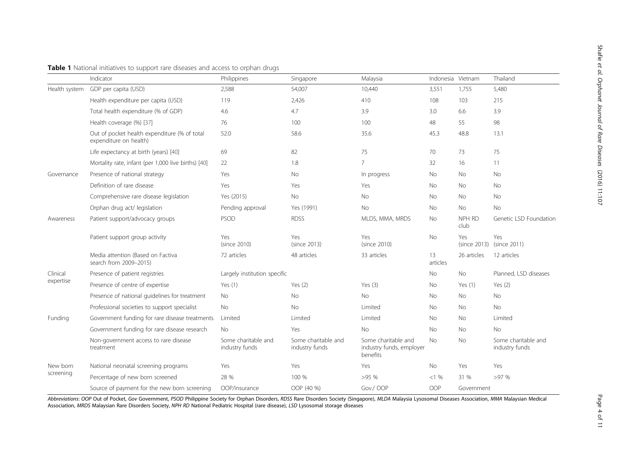<span id="page-3-0"></span>

|  |  | Table 1 National initiatives to support rare diseases and access to orphan drugs |  |
|--|--|----------------------------------------------------------------------------------|--|
|  |  |                                                                                  |  |

|                       | Indicator                                                              | Philippines                           | Singapore                             | Malaysia                                                    | Indonesia Vietnam |                | Thailand                              |
|-----------------------|------------------------------------------------------------------------|---------------------------------------|---------------------------------------|-------------------------------------------------------------|-------------------|----------------|---------------------------------------|
| Health system         | GDP per capita (USD)                                                   | 2,588                                 | 54,007                                | 10,440                                                      | 3,551             | 1,755          | 5,480                                 |
|                       | Health expenditure per capita (USD)                                    | 119                                   | 2,426                                 | 410                                                         | 108               | 103            | 215                                   |
|                       | Total health expenditure (% of GDP)                                    | 4.6                                   | 4.7                                   | 3.9                                                         | 3.0               | 6.6            | 3.9                                   |
|                       | Health coverage (%) [37]                                               | 76                                    | 100                                   | 100                                                         | 48                | 55             | 98                                    |
|                       | Out of pocket health expenditure (% of total<br>expenditure on health) | 52.0                                  | 58.6                                  | 35.6                                                        | 45.3              | 48.8           | 13.1                                  |
|                       | Life expectancy at birth (years) [40]                                  | 69                                    | 82                                    | 75                                                          | 70                | 73             | 75                                    |
|                       | Mortality rate, infant (per 1,000 live births) [40]                    | 22                                    | 1.8                                   | $\overline{7}$                                              | 32                | 16             | 11                                    |
| Governance            | Presence of national strategy                                          | Yes                                   | No                                    | In progress                                                 | No                | No             | No                                    |
|                       | Definition of rare disease                                             | Yes                                   | Yes                                   | Yes                                                         | No                | No             | No                                    |
|                       | Comprehensive rare disease legislation                                 | Yes (2015)                            | <b>No</b>                             | <b>No</b>                                                   | <b>No</b>         | <b>No</b>      | <b>No</b>                             |
|                       | Orphan drug act/ legislation                                           | Pending approval                      | Yes (1991)                            | <b>No</b>                                                   | <b>No</b>         | <b>No</b>      | <b>No</b>                             |
| Awareness             | Patient support/advocacy groups                                        | PSOD                                  | <b>RDSS</b>                           | MLDS, MMA, MRDS                                             | No                | NPH RD<br>club | Genetic LSD Foundation                |
|                       | Patient support group activity                                         | Yes<br>(since 2010)                   | Yes<br>(since 2013)                   | Yes<br>(since 2010)                                         | No                | Yes            | Yes<br>(since 2013) (since 2011)      |
|                       | Media attention (Based on Factiva<br>search from 2009-2015)            | 72 articles                           | 48 articles                           | 33 articles                                                 | 13<br>articles    | 26 articles    | 12 articles                           |
| Clinical<br>expertise | Presence of patient registries                                         | Largely institution specific          |                                       |                                                             | No                | <b>No</b>      | Planned, LSD diseases                 |
|                       | Presence of centre of expertise                                        | Yes $(1)$                             | Yes $(2)$                             | Yes $(3)$                                                   | No                | Yes $(1)$      | Yes $(2)$                             |
|                       | Presence of national guidelines for treatment                          | No                                    | No                                    | No                                                          | No                | <b>No</b>      | No                                    |
|                       | Professional societies to support specialist                           | No                                    | No                                    | Limited                                                     | No                | No             | No                                    |
| Funding               | Government funding for rare disease treatments                         | Limited                               | Limited                               | Limited                                                     | No                | <b>No</b>      | Limited                               |
|                       | Government funding for rare disease research                           | No.                                   | Yes                                   | No                                                          | No                | No             | No                                    |
|                       | Non-government access to rare disease<br>treatment                     | Some charitable and<br>industry funds | Some charitable and<br>industry funds | Some charitable and<br>industry funds, employer<br>benefits | No                | No             | Some charitable and<br>industry funds |
| New born<br>screening | National neonatal screening programs                                   | Yes                                   | Yes                                   | Yes                                                         | <b>No</b>         | Yes            | Yes                                   |
|                       | Percentage of new born screened                                        | 28 %                                  | 100 %                                 | >95%                                                        | <1%               | 31 %           | >97%                                  |
|                       | Source of payment for the new born screening                           | OOP/insurance                         | OOP (40 %)                            | Gov./OOP                                                    | OOP               | Government     |                                       |

Abbreviations: OOP Out of Pocket, Gov Government, PSOD Philippine Society for Orphan Disorders, RDSS Rare Disorders Society (Singapore), MLDA Malaysia Lysosomal Diseases Association, MMA Malaysian Medical Association, MRDS Malaysian Rare Disorders Society, NPH RD National Pediatric Hospital (rare disease), LSD Lysosomal storage diseases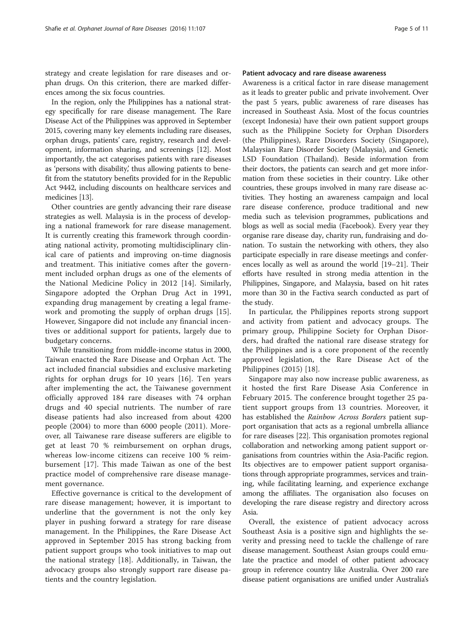strategy and create legislation for rare diseases and orphan drugs. On this criterion, there are marked differences among the six focus countries.

In the region, only the Philippines has a national strategy specifically for rare disease management. The Rare Disease Act of the Philippines was approved in September 2015, covering many key elements including rare diseases, orphan drugs, patients' care, registry, research and development, information sharing, and screenings [\[12](#page-10-0)]. Most importantly, the act categorises patients with rare diseases as 'persons with disability,' thus allowing patients to benefit from the statutory benefits provided for in the Republic Act 9442, including discounts on healthcare services and medicines [[13](#page-10-0)].

Other countries are gently advancing their rare disease strategies as well. Malaysia is in the process of developing a national framework for rare disease management. It is currently creating this framework through coordinating national activity, promoting multidisciplinary clinical care of patients and improving on-time diagnosis and treatment. This initiative comes after the government included orphan drugs as one of the elements of the National Medicine Policy in 2012 [\[14](#page-10-0)]. Similarly, Singapore adopted the Orphan Drug Act in 1991, expanding drug management by creating a legal framework and promoting the supply of orphan drugs [\[15](#page-10-0)]. However, Singapore did not include any financial incentives or additional support for patients, largely due to budgetary concerns.

While transitioning from middle-income status in 2000, Taiwan enacted the Rare Disease and Orphan Act. The act included financial subsidies and exclusive marketing rights for orphan drugs for 10 years [\[16](#page-10-0)]. Ten years after implementing the act, the Taiwanese government officially approved 184 rare diseases with 74 orphan drugs and 40 special nutrients. The number of rare disease patients had also increased from about 4200 people (2004) to more than 6000 people (2011). Moreover, all Taiwanese rare disease sufferers are eligible to get at least 70 % reimbursement on orphan drugs, whereas low-income citizens can receive 100 % reimbursement [[17\]](#page-10-0). This made Taiwan as one of the best practice model of comprehensive rare disease management governance.

Effective governance is critical to the development of rare disease management; however, it is important to underline that the government is not the only key player in pushing forward a strategy for rare disease management. In the Philippines, the Rare Disease Act approved in September 2015 has strong backing from patient support groups who took initiatives to map out the national strategy [[18\]](#page-10-0). Additionally, in Taiwan, the advocacy groups also strongly support rare disease patients and the country legislation.

# Patient advocacy and rare disease awareness

Awareness is a critical factor in rare disease management as it leads to greater public and private involvement. Over the past 5 years, public awareness of rare diseases has increased in Southeast Asia. Most of the focus countries (except Indonesia) have their own patient support groups such as the Philippine Society for Orphan Disorders (the Philippines), Rare Disorders Society (Singapore), Malaysian Rare Disorder Society (Malaysia), and Genetic LSD Foundation (Thailand). Beside information from their doctors, the patients can search and get more information from these societies in their country. Like other countries, these groups involved in many rare disease activities. They hosting an awareness campaign and local rare disease conference, produce traditional and new media such as television programmes, publications and blogs as well as social media (Facebook). Every year they organise rare disease day, charity run, fundraising and donation. To sustain the networking with others, they also participate especially in rare disease meetings and conferences locally as well as around the world [\[19](#page-10-0)–[21\]](#page-10-0). Their efforts have resulted in strong media attention in the Philippines, Singapore, and Malaysia, based on hit rates more than 30 in the Factiva search conducted as part of the study.

In particular, the Philippines reports strong support and activity from patient and advocacy groups. The primary group, Philippine Society for Orphan Disorders, had drafted the national rare disease strategy for the Philippines and is a core proponent of the recently approved legislation, the Rare Disease Act of the Philippines (2015) [\[18](#page-10-0)].

Singapore may also now increase public awareness, as it hosted the first Rare Disease Asia Conference in February 2015. The conference brought together 25 patient support groups from 13 countries. Moreover, it has established the Rainbow Across Borders patient support organisation that acts as a regional umbrella alliance for rare diseases [\[22\]](#page-10-0). This organisation promotes regional collaboration and networking among patient support organisations from countries within the Asia-Pacific region. Its objectives are to empower patient support organisations through appropriate programmes, services and training, while facilitating learning, and experience exchange among the affiliates. The organisation also focuses on developing the rare disease registry and directory across Asia.

Overall, the existence of patient advocacy across Southeast Asia is a positive sign and highlights the severity and pressing need to tackle the challenge of rare disease management. Southeast Asian groups could emulate the practice and model of other patient advocacy group in reference country like Australia. Over 200 rare disease patient organisations are unified under Australia's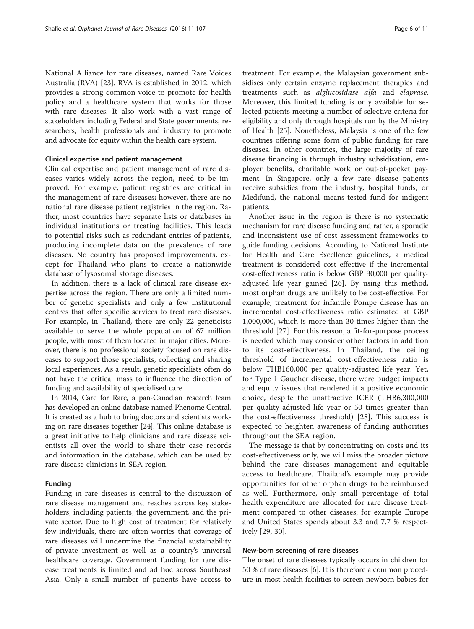National Alliance for rare diseases, named Rare Voices Australia (RVA) [[23\]](#page-10-0). RVA is established in 2012, which provides a strong common voice to promote for health policy and a healthcare system that works for those with rare diseases. It also work with a vast range of stakeholders including Federal and State governments, researchers, health professionals and industry to promote and advocate for equity within the health care system.

# Clinical expertise and patient management

Clinical expertise and patient management of rare diseases varies widely across the region, need to be improved. For example, patient registries are critical in the management of rare diseases; however, there are no national rare disease patient registries in the region. Rather, most countries have separate lists or databases in individual institutions or treating facilities. This leads to potential risks such as redundant entries of patients, producing incomplete data on the prevalence of rare diseases. No country has proposed improvements, except for Thailand who plans to create a nationwide database of lysosomal storage diseases.

In addition, there is a lack of clinical rare disease expertise across the region. There are only a limited number of genetic specialists and only a few institutional centres that offer specific services to treat rare diseases. For example, in Thailand, there are only 22 geneticists available to serve the whole population of 67 million people, with most of them located in major cities. Moreover, there is no professional society focused on rare diseases to support those specialists, collecting and sharing local experiences. As a result, genetic specialists often do not have the critical mass to influence the direction of funding and availability of specialised care.

In 2014, Care for Rare, a pan-Canadian research team has developed an online database named Phenome Central. It is created as a hub to bring doctors and scientists working on rare diseases together [[24](#page-10-0)]. This online database is a great initiative to help clinicians and rare disease scientists all over the world to share their case records and information in the database, which can be used by rare disease clinicians in SEA region.

## Funding

Funding in rare diseases is central to the discussion of rare disease management and reaches across key stakeholders, including patients, the government, and the private sector. Due to high cost of treatment for relatively few individuals, there are often worries that coverage of rare diseases will undermine the financial sustainability of private investment as well as a country's universal healthcare coverage. Government funding for rare disease treatments is limited and ad hoc across Southeast Asia. Only a small number of patients have access to

treatment. For example, the Malaysian government subsidises only certain enzyme replacement therapies and treatments such as alglucosidase alfa and elaprase. Moreover, this limited funding is only available for selected patients meeting a number of selective criteria for eligibility and only through hospitals run by the Ministry of Health [\[25](#page-10-0)]. Nonetheless, Malaysia is one of the few countries offering some form of public funding for rare diseases. In other countries, the large majority of rare disease financing is through industry subsidisation, employer benefits, charitable work or out-of-pocket payment. In Singapore, only a few rare disease patients receive subsidies from the industry, hospital funds, or Medifund, the national means-tested fund for indigent patients.

Another issue in the region is there is no systematic mechanism for rare disease funding and rather, a sporadic and inconsistent use of cost assessment frameworks to guide funding decisions. According to National Institute for Health and Care Excellence guidelines, a medical treatment is considered cost effective if the incremental cost-effectiveness ratio is below GBP 30,000 per qualityadjusted life year gained [[26\]](#page-10-0). By using this method, most orphan drugs are unlikely to be cost-effective. For example, treatment for infantile Pompe disease has an incremental cost-effectiveness ratio estimated at GBP 1,000,000, which is more than 30 times higher than the threshold [\[27](#page-10-0)]. For this reason, a fit-for-purpose process is needed which may consider other factors in addition to its cost-effectiveness. In Thailand, the ceiling threshold of incremental cost-effectiveness ratio is below THB160,000 per quality-adjusted life year. Yet, for Type 1 Gaucher disease, there were budget impacts and equity issues that rendered it a positive economic choice, despite the unattractive ICER (THB6,300,000 per quality-adjusted life year or 50 times greater than the cost-effectiveness threshold) [[28\]](#page-10-0). This success is expected to heighten awareness of funding authorities throughout the SEA region.

The message is that by concentrating on costs and its cost-effectiveness only, we will miss the broader picture behind the rare diseases management and equitable access to healthcare. Thailand's example may provide opportunities for other orphan drugs to be reimbursed as well. Furthermore, only small percentage of total health expenditure are allocated for rare disease treatment compared to other diseases; for example Europe and United States spends about 3.3 and 7.7 % respectively [[29, 30\]](#page-10-0).

# New-born screening of rare diseases

The onset of rare diseases typically occurs in children for 50 % of rare diseases [[6\]](#page-10-0). It is therefore a common procedure in most health facilities to screen newborn babies for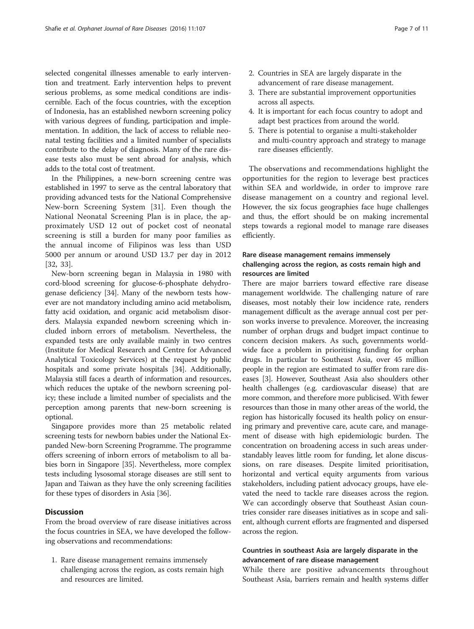selected congenital illnesses amenable to early intervention and treatment. Early intervention helps to prevent serious problems, as some medical conditions are indiscernible. Each of the focus countries, with the exception of Indonesia, has an established newborn screening policy with various degrees of funding, participation and implementation. In addition, the lack of access to reliable neonatal testing facilities and a limited number of specialists contribute to the delay of diagnosis. Many of the rare disease tests also must be sent abroad for analysis, which adds to the total cost of treatment.

In the Philippines, a new-born screening centre was established in 1997 to serve as the central laboratory that providing advanced tests for the National Comprehensive New-born Screening System [[31\]](#page-10-0). Even though the National Neonatal Screening Plan is in place, the approximately USD 12 out of pocket cost of neonatal screening is still a burden for many poor families as the annual income of Filipinos was less than USD 5000 per annum or around USD 13.7 per day in 2012 [[32, 33](#page-10-0)].

New-born screening began in Malaysia in 1980 with cord-blood screening for glucose-6-phosphate dehydrogenase deficiency [\[34\]](#page-10-0). Many of the newborn tests however are not mandatory including amino acid metabolism, fatty acid oxidation, and organic acid metabolism disorders. Malaysia expanded newborn screening which included inborn errors of metabolism. Nevertheless, the expanded tests are only available mainly in two centres (Institute for Medical Research and Centre for Advanced Analytical Toxicology Services) at the request by public hospitals and some private hospitals [\[34\]](#page-10-0). Additionally, Malaysia still faces a dearth of information and resources, which reduces the uptake of the newborn screening policy; these include a limited number of specialists and the perception among parents that new-born screening is optional.

Singapore provides more than 25 metabolic related screening tests for newborn babies under the National Expanded New-born Screening Programme. The programme offers screening of inborn errors of metabolism to all babies born in Singapore [\[35](#page-10-0)]. Nevertheless, more complex tests including lysosomal storage diseases are still sent to Japan and Taiwan as they have the only screening facilities for these types of disorders in Asia [\[36\]](#page-10-0).

# **Discussion**

From the broad overview of rare disease initiatives across the focus countries in SEA, we have developed the following observations and recommendations:

1. Rare disease management remains immensely challenging across the region, as costs remain high and resources are limited.

- 2. Countries in SEA are largely disparate in the advancement of rare disease management.
- 3. There are substantial improvement opportunities across all aspects.
- 4. It is important for each focus country to adopt and adapt best practices from around the world.
- 5. There is potential to organise a multi-stakeholder and multi-country approach and strategy to manage rare diseases efficiently.

The observations and recommendations highlight the opportunities for the region to leverage best practices within SEA and worldwide, in order to improve rare disease management on a country and regional level. However, the six focus geographies face huge challenges and thus, the effort should be on making incremental steps towards a regional model to manage rare diseases efficiently.

# Rare disease management remains immensely challenging across the region, as costs remain high and resources are limited

There are major barriers toward effective rare disease management worldwide. The challenging nature of rare diseases, most notably their low incidence rate, renders management difficult as the average annual cost per person works inverse to prevalence. Moreover, the increasing number of orphan drugs and budget impact continue to concern decision makers. As such, governments worldwide face a problem in prioritising funding for orphan drugs. In particular to Southeast Asia, over 45 million people in the region are estimated to suffer from rare diseases [[3\]](#page-9-0). However, Southeast Asia also shoulders other health challenges (e.g. cardiovascular disease) that are more common, and therefore more publicised. With fewer resources than those in many other areas of the world, the region has historically focused its health policy on ensuring primary and preventive care, acute care, and management of disease with high epidemiologic burden. The concentration on broadening access in such areas understandably leaves little room for funding, let alone discussions, on rare diseases. Despite limited prioritisation, horizontal and vertical equity arguments from various stakeholders, including patient advocacy groups, have elevated the need to tackle rare diseases across the region. We can accordingly observe that Southeast Asian countries consider rare diseases initiatives as in scope and salient, although current efforts are fragmented and dispersed across the region.

# Countries in southeast Asia are largely disparate in the advancement of rare disease management

While there are positive advancements throughout Southeast Asia, barriers remain and health systems differ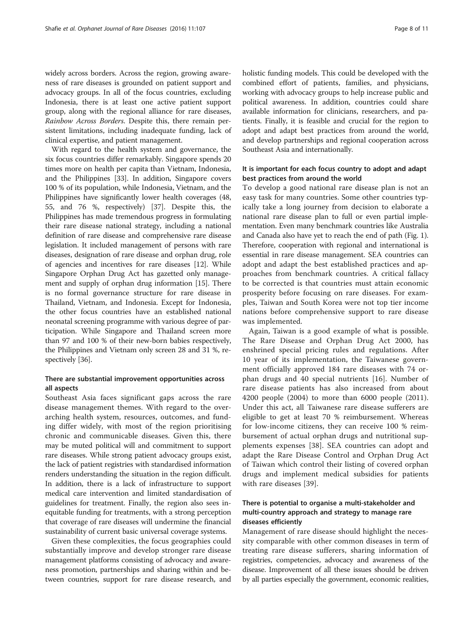widely across borders. Across the region, growing awareness of rare diseases is grounded on patient support and advocacy groups. In all of the focus countries, excluding Indonesia, there is at least one active patient support group, along with the regional alliance for rare diseases, Rainbow Across Borders. Despite this, there remain persistent limitations, including inadequate funding, lack of clinical expertise, and patient management.

With regard to the health system and governance, the six focus countries differ remarkably. Singapore spends 20 times more on health per capita than Vietnam, Indonesia, and the Philippines [[33](#page-10-0)]. In addition, Singapore covers 100 % of its population, while Indonesia, Vietnam, and the Philippines have significantly lower health coverages (48, 55, and 76 %, respectively) [\[37\]](#page-10-0). Despite this, the Philippines has made tremendous progress in formulating their rare disease national strategy, including a national definition of rare disease and comprehensive rare disease legislation. It included management of persons with rare diseases, designation of rare disease and orphan drug, role of agencies and incentives for rare diseases [[12](#page-10-0)]. While Singapore Orphan Drug Act has gazetted only management and supply of orphan drug information [\[15](#page-10-0)]. There is no formal governance structure for rare disease in Thailand, Vietnam, and Indonesia. Except for Indonesia, the other focus countries have an established national neonatal screening programme with various degree of participation. While Singapore and Thailand screen more than 97 and 100 % of their new-born babies respectively, the Philippines and Vietnam only screen 28 and 31 %, respectively [\[36\]](#page-10-0).

# There are substantial improvement opportunities across all aspects

Southeast Asia faces significant gaps across the rare disease management themes. With regard to the overarching health system, resources, outcomes, and funding differ widely, with most of the region prioritising chronic and communicable diseases. Given this, there may be muted political will and commitment to support rare diseases. While strong patient advocacy groups exist, the lack of patient registries with standardised information renders understanding the situation in the region difficult. In addition, there is a lack of infrastructure to support medical care intervention and limited standardisation of guidelines for treatment. Finally, the region also sees inequitable funding for treatments, with a strong perception that coverage of rare diseases will undermine the financial sustainability of current basic universal coverage systems.

Given these complexities, the focus geographies could substantially improve and develop stronger rare disease management platforms consisting of advocacy and awareness promotion, partnerships and sharing within and between countries, support for rare disease research, and holistic funding models. This could be developed with the combined effort of patients, families, and physicians, working with advocacy groups to help increase public and political awareness. In addition, countries could share available information for clinicians, researchers, and patients. Finally, it is feasible and crucial for the region to adopt and adapt best practices from around the world, and develop partnerships and regional cooperation across Southeast Asia and internationally.

# It is important for each focus country to adopt and adapt best practices from around the world

To develop a good national rare disease plan is not an easy task for many countries. Some other countries typically take a long journey from decision to elaborate a national rare disease plan to full or even partial implementation. Even many benchmark countries like Australia and Canada also have yet to reach the end of path (Fig. [1](#page-8-0)). Therefore, cooperation with regional and international is essential in rare disease management. SEA countries can adopt and adapt the best established practices and approaches from benchmark countries. A critical fallacy to be corrected is that countries must attain economic prosperity before focusing on rare diseases. For examples, Taiwan and South Korea were not top tier income nations before comprehensive support to rare disease was implemented.

Again, Taiwan is a good example of what is possible. The Rare Disease and Orphan Drug Act 2000, has enshrined special pricing rules and regulations. After 10 year of its implementation, the Taiwanese government officially approved 184 rare diseases with 74 orphan drugs and 40 special nutrients [[16](#page-10-0)]. Number of rare disease patients has also increased from about 4200 people (2004) to more than 6000 people (2011). Under this act, all Taiwanese rare disease sufferers are eligible to get at least 70 % reimbursement. Whereas for low-income citizens, they can receive 100 % reimbursement of actual orphan drugs and nutritional supplements expenses [[38\]](#page-10-0). SEA countries can adopt and adapt the Rare Disease Control and Orphan Drug Act of Taiwan which control their listing of covered orphan drugs and implement medical subsidies for patients with rare diseases [[39\]](#page-10-0).

# There is potential to organise a multi-stakeholder and multi-country approach and strategy to manage rare diseases efficiently

Management of rare disease should highlight the necessity comparable with other common diseases in term of treating rare disease sufferers, sharing information of registries, competencies, advocacy and awareness of the disease. Improvement of all these issues should be driven by all parties especially the government, economic realities,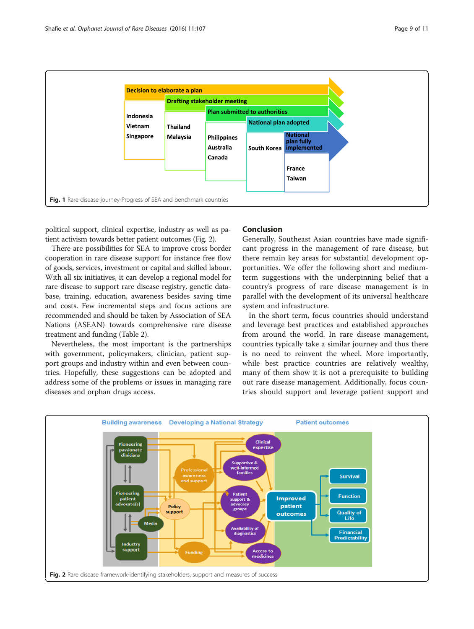<span id="page-8-0"></span>

political support, clinical expertise, industry as well as patient activism towards better patient outcomes (Fig. 2).

There are possibilities for SEA to improve cross border cooperation in rare disease support for instance free flow of goods, services, investment or capital and skilled labour. With all six initiatives, it can develop a regional model for rare disease to support rare disease registry, genetic database, training, education, awareness besides saving time and costs. Few incremental steps and focus actions are recommended and should be taken by Association of SEA Nations (ASEAN) towards comprehensive rare disease treatment and funding (Table [2\)](#page-9-0).

Nevertheless, the most important is the partnerships with government, policymakers, clinician, patient support groups and industry within and even between countries. Hopefully, these suggestions can be adopted and address some of the problems or issues in managing rare diseases and orphan drugs access.

# Conclusion

Generally, Southeast Asian countries have made significant progress in the management of rare disease, but there remain key areas for substantial development opportunities. We offer the following short and mediumterm suggestions with the underpinning belief that a country's progress of rare disease management is in parallel with the development of its universal healthcare system and infrastructure.

In the short term, focus countries should understand and leverage best practices and established approaches from around the world. In rare disease management, countries typically take a similar journey and thus there is no need to reinvent the wheel. More importantly, while best practice countries are relatively wealthy, many of them show it is not a prerequisite to building out rare disease management. Additionally, focus countries should support and leverage patient support and

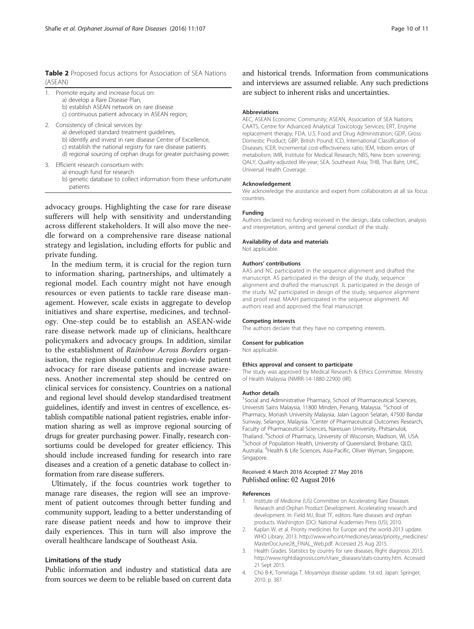<span id="page-9-0"></span>Table 2 Proposed focus actions for Association of SEA Nations (ASEAN)

| Promote equity and increase focus on: |  |  |  |
|---------------------------------------|--|--|--|
|                                       |  |  |  |

- a) develop a Rare Disease Plan,
	- b) establish ASEAN network on rare disease
	- c) continuous patient advocacy in ASEAN region;
- 2. Consistency of clinical services by:
	- a) developed standard treatment guidelines,
	- b) identify and invest in rare disease Centre of Excellence,
	- c) establish the national registry for rare disease patients
	- d) regional sourcing of orphan drugs for greater purchasing power;
- 3. Efficient research consortium with:
	- a) enough fund for research
		- b) genetic database to collect information from these unfortunate patients

advocacy groups. Highlighting the case for rare disease sufferers will help with sensitivity and understanding across different stakeholders. It will also move the needle forward on a comprehensive rare disease national strategy and legislation, including efforts for public and private funding.

In the medium term, it is crucial for the region turn to information sharing, partnerships, and ultimately a regional model. Each country might not have enough resources or even patients to tackle rare disease management. However, scale exists in aggregate to develop initiatives and share expertise, medicines, and technology. One-step could be to establish an ASEAN-wide rare disease network made up of clinicians, healthcare policymakers and advocacy groups. In addition, similar to the establishment of Rainbow Across Borders organisation, the region should continue region-wide patient advocacy for rare disease patients and increase awareness. Another incremental step should be centred on clinical services for consistency. Countries on a national and regional level should develop standardised treatment guidelines, identify and invest in centres of excellence, establish compatible national patient registries, enable information sharing as well as improve regional sourcing of drugs for greater purchasing power. Finally, research consortiums could be developed for greater efficiency. This should include increased funding for research into rare diseases and a creation of a genetic database to collect information from rare disease sufferers.

Ultimately, if the focus countries work together to manage rare diseases, the region will see an improvement of patient outcomes through better funding and community support, leading to a better understanding of rare disease patient needs and how to improve their daily experiences. This in turn will also improve the overall healthcare landscape of Southeast Asia.

## Limitations of the study

Public information and industry and statistical data are from sources we deem to be reliable based on current data

and historical trends. Information from communications and interviews are assumed reliable. Any such predictions are subject to inherent risks and uncertainties.

#### Abbreviations

AEC, ASEAN Economic Community; ASEAN, Association of SEA Nations; CAATS, Centre for Advanced Analytical Toxicology Services; ERT, Enzyme replacement therapy; FDA, U.S. Food and Drug Administration; GDP, Gross Domestic Product; GBP, British Pound; ICD, International Classification of Diseases; ICER, Incremental cost-effectiveness ratio; IEM, Inborn errors of metabolism; IMR, Institute for Medical Research; NBS, New born screening; QALY, Quality-adjusted life-year; SEA, Southeast Asia; THB, Thai Baht; UHC, Universal Health Coverage.

#### Acknowledgement

We acknowledge the assistance and expert from collaborators at all six focus countries.

#### Funding

Authors declared no funding received in the design, data collection, analysis and interpretation, writing and general conduct of the study.

# Availability of data and materials

Not applicable.

#### Authors' contributions

AAS and NC participated in the sequence alignment and drafted the manuscript. AS participated in the design of the study, sequence alignment and drafted the manuscript. JL participated in the design of the study. MZ participated in design of the study, sequence alignment and proof read. MAAH participated in the sequence alignment. All authors read and approved the final manuscript.

#### Competing interests

The authors declare that they have no competing interests.

## Consent for publication

Not applicable.

#### Ethics approval and consent to participate

The study was approved by Medical Research & Ethics Committee, Ministry of Health Malaysia (NMRR-14-1880-22900 (IIR).

#### Author details

<sup>1</sup>Social and Administrative Pharmacy, School of Pharmaceutical Sciences, Universiti Sains Malaysia, 11800 Minden, Penang, Malaysia. <sup>2</sup>School of Pharmacy, Monash University Malaysia, Jalan Lagoon Selatan, 47500 Bandar Sunway, Selangor, Malaysia. <sup>3</sup>Center of Pharmaceutical Outcomes Research, Faculty of Pharmaceutical Sciences, Naresuan University, Phitsanulok, Thailand. <sup>4</sup>School of Pharmacy, University of Wisconsin, Madison, WI, USA.<br><sup>5</sup>School of Penulation Hoalth, University of Queensland, Brisbane, OLD. School of Population Health, University of Queensland, Brisbane, QLD, Australia. <sup>6</sup>Health & Life Sciences, Asia-Pacific, Oliver Wyman, Singapore, Singapore.

# Received: 4 March 2016 Accepted: 27 May 2016 Published online: 02 August 2016

#### References

- 1. Institute of Medicine (US) Committee on Accelerating Rare Diseases Research and Orphan Product Development. Accelerating research and development. In: Field MJ, Boat TF, editors. Rare diseases and orphan products. Washington (DC): National Academies Press (US); 2010.
- 2. Kaplan W, et al. Priority medicines for Europe and the world-2013 update. WHO Library; 2013. [http://www.who.int/medicines/areas/priority\\_medicines/](http://www.who.int/medicines/areas/priority_medicines/MasterDocJune28_FINAL_Web.pdf) [MasterDocJune28\\_FINAL\\_Web.pdf.](http://www.who.int/medicines/areas/priority_medicines/MasterDocJune28_FINAL_Web.pdf) Accessed 25 Aug 2015.
- 3. Health Grades. Statistics by country for rare diseases. Right diagnosis 2015. [http://www.rightdiagnosis.com/r/rare\\_diseases/stats-country.htm](http://www.rightdiagnosis.com/r/rare_diseases/stats-country.htm). Accessed 21 Sept 2015.
- 4. Cho B-K, Tominaga T. Moyamoya disease update. 1st ed. Japan: Springer; 2010. p. 387.